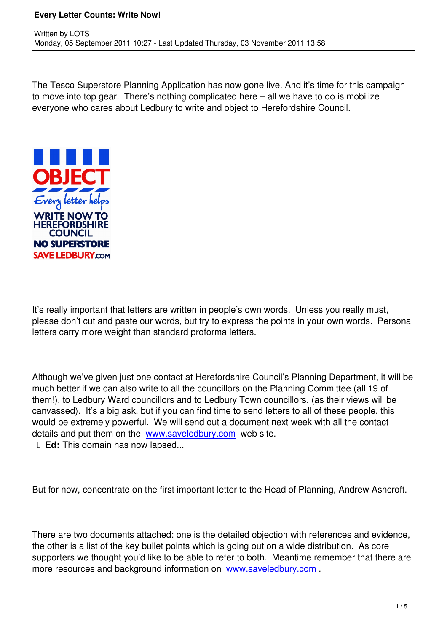The Tesco Superstore Planning Application has now gone live. And it's time for this campaign to move into top gear. There's nothing complicated here – all we have to do is mobilize everyone who cares about Ledbury to write and object to Herefordshire Council.



Written by Lots and Lots and Lots and Lots and Lots and Lots and Lots and Lots and Lots and Lots and Lots and

It's really important that letters are written in people's own words. Unless you really must, please don't cut and paste our words, but try to express the points in your own words. Personal letters carry more weight than standard proforma letters.

Although we've given just one contact at Herefordshire Council's Planning Department, it will be much better if we can also write to all the councillors on the Planning Committee (all 19 of them!), to Ledbury Ward councillors and to Ledbury Town councillors, (as their views will be canvassed). It's a big ask, but if you can find time to send letters to all of these people, this would be extremely powerful. We will send out a document next week with all the contact details and put them on the www.saveledbury.com web site.

**Ed:** This domain has now lapsed...

But for now, concentrate on the first important letter to the Head of Planning, Andrew Ashcroft.

There are two documents attached: one is the detailed objection with references and evidence, the other is a list of the key bullet points which is going out on a wide distribution. As core supporters we thought you'd like to be able to refer to both. Meantime remember that there are more resources and background information on www.saveledbury.com .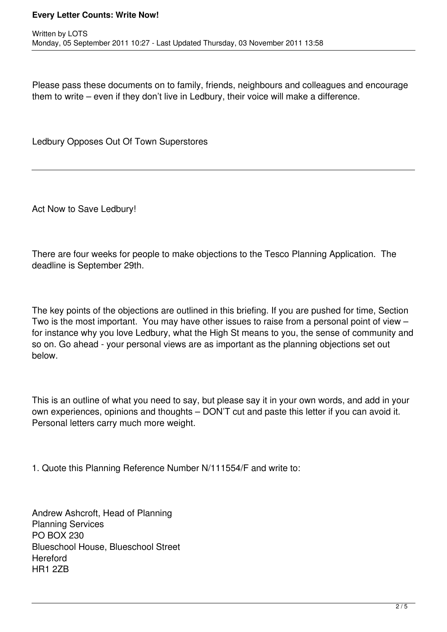## **Every Letter Counts: Write Now!**

Please pass these documents on to family, friends, neighbours and colleagues and encourage them to write – even if they don't live in Ledbury, their voice will make a difference.

Ledbury Opposes Out Of Town Superstores

Act Now to Save Ledbury!

There are four weeks for people to make objections to the Tesco Planning Application. The deadline is September 29th.

The key points of the objections are outlined in this briefing. If you are pushed for time, Section Two is the most important. You may have other issues to raise from a personal point of view – for instance why you love Ledbury, what the High St means to you, the sense of community and so on. Go ahead - your personal views are as important as the planning objections set out below.

This is an outline of what you need to say, but please say it in your own words, and add in your own experiences, opinions and thoughts – DON'T cut and paste this letter if you can avoid it. Personal letters carry much more weight.

1. Quote this Planning Reference Number N/111554/F and write to:

Andrew Ashcroft, Head of Planning Planning Services PO BOX 230 Blueschool House, Blueschool Street **Hereford** HR1 2ZB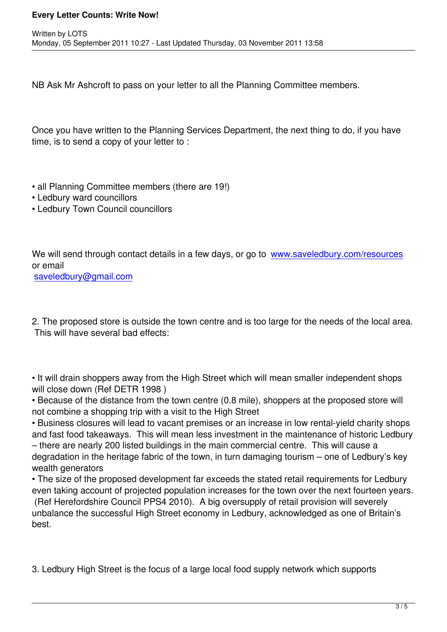NB Ask Mr Ashcroft to pass on your letter to all the Planning Committee members.

Once you have written to the Planning Services Department, the next thing to do, if you have time, is to send a copy of your letter to :

- all Planning Committee members (there are 19!)
- Ledbury ward councillors

Written by Lots and Lots and Lots and Lots and Lots and Lots and Lots and Lots and Lots and Lots and Lots and

• Ledbury Town Council councillors

We will send through contact details in a few days, or go to www.saveledbury.com/resources or email

saveledbury@gmail.com

[2. The proposed store is o](mailto:saveledbury@gmail.com)utside the town centre and is too large for the needs of the local area. This will have several bad effects:

• It will drain shoppers away from the High Street which will mean smaller independent shops will close down (Ref DETR 1998 )

• Because of the distance from the town centre (0.8 mile), shoppers at the proposed store will not combine a shopping trip with a visit to the High Street

• Business closures will lead to vacant premises or an increase in low rental-yield charity shops and fast food takeaways. This will mean less investment in the maintenance of historic Ledbury – there are nearly 200 listed buildings in the main commercial centre. This will cause a degradation in the heritage fabric of the town, in turn damaging tourism – one of Ledbury's key wealth generators

• The size of the proposed development far exceeds the stated retail requirements for Ledbury even taking account of projected population increases for the town over the next fourteen years. (Ref Herefordshire Council PPS4 2010). A big oversupply of retail provision will severely unbalance the successful High Street economy in Ledbury, acknowledged as one of Britain's best.

3. Ledbury High Street is the focus of a large local food supply network which supports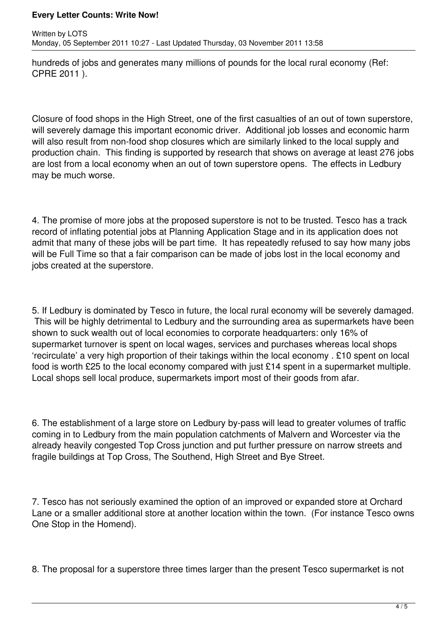## **Every Letter Counts: Write Now!**

hundreds of jobs and generates many millions of pounds for the local rural economy (Ref: CPRE 2011 ).

Closure of food shops in the High Street, one of the first casualties of an out of town superstore, will severely damage this important economic driver. Additional job losses and economic harm will also result from non-food shop closures which are similarly linked to the local supply and production chain. This finding is supported by research that shows on average at least 276 jobs are lost from a local economy when an out of town superstore opens. The effects in Ledbury may be much worse.

4. The promise of more jobs at the proposed superstore is not to be trusted. Tesco has a track record of inflating potential jobs at Planning Application Stage and in its application does not admit that many of these jobs will be part time. It has repeatedly refused to say how many jobs will be Full Time so that a fair comparison can be made of jobs lost in the local economy and jobs created at the superstore.

5. If Ledbury is dominated by Tesco in future, the local rural economy will be severely damaged. This will be highly detrimental to Ledbury and the surrounding area as supermarkets have been shown to suck wealth out of local economies to corporate headquarters: only 16% of supermarket turnover is spent on local wages, services and purchases whereas local shops 'recirculate' a very high proportion of their takings within the local economy . £10 spent on local food is worth £25 to the local economy compared with just £14 spent in a supermarket multiple. Local shops sell local produce, supermarkets import most of their goods from afar.

6. The establishment of a large store on Ledbury by-pass will lead to greater volumes of traffic coming in to Ledbury from the main population catchments of Malvern and Worcester via the already heavily congested Top Cross junction and put further pressure on narrow streets and fragile buildings at Top Cross, The Southend, High Street and Bye Street.

7. Tesco has not seriously examined the option of an improved or expanded store at Orchard Lane or a smaller additional store at another location within the town. (For instance Tesco owns One Stop in the Homend).

8. The proposal for a superstore three times larger than the present Tesco supermarket is not